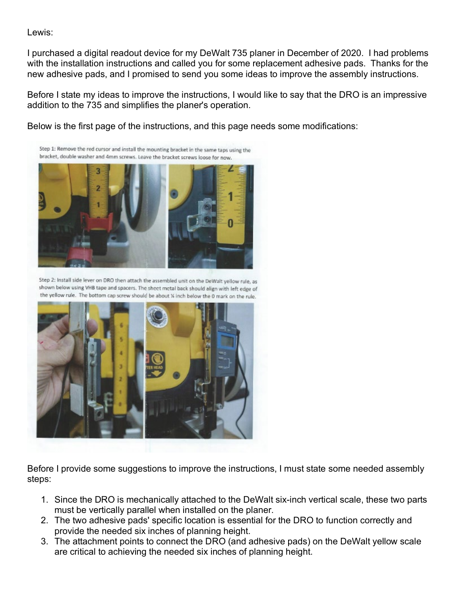Lewis:

I purchased a digital readout device for my DeWalt 735 planer in December of 2020. I had problems with the installation instructions and called you for some replacement adhesive pads. Thanks for the new adhesive pads, and I promised to send you some ideas to improve the assembly instructions.

Before I state my ideas to improve the instructions, I would like to say that the DRO is an impressive addition to the 735 and simplifies the planer's operation.

Below is the first page of the instructions, and this page needs some modifications:

Step 1: Remove the red cursor and install the mounting bracket in the same taps using the bracket, double washer and 4mm screws. Leave the bracket screws loose for now.



Step 2: Install side lever on DRO then attach the assembled unit on the DeWalt yellow rule, as shown below using VHB tape and spacers. The sheet metal back should align with left edge of the yellow rule. The bottom cap screw should be about % inch below the 0 mark on the rule.



Before I provide some suggestions to improve the instructions, I must state some needed assembly steps:

- 1. Since the DRO is mechanically attached to the DeWalt six-inch vertical scale, these two parts must be vertically parallel when installed on the planer.
- 2. The two adhesive pads' specific location is essential for the DRO to function correctly and provide the needed six inches of planning height.
- 3. The attachment points to connect the DRO (and adhesive pads) on the DeWalt yellow scale are critical to achieving the needed six inches of planning height.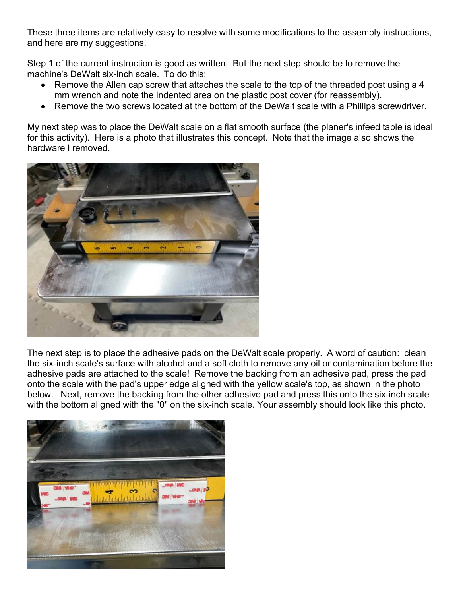These three items are relatively easy to resolve with some modifications to the assembly instructions, and here are my suggestions.

Step 1 of the current instruction is good as written. But the next step should be to remove the machine's DeWalt six-inch scale. To do this:

- Remove the Allen cap screw that attaches the scale to the top of the threaded post using a 4 mm wrench and note the indented area on the plastic post cover (for reassembly).
- Remove the two screws located at the bottom of the DeWalt scale with a Phillips screwdriver.

My next step was to place the DeWalt scale on a flat smooth surface (the planer's infeed table is ideal for this activity). Here is a photo that illustrates this concept. Note that the image also shows the hardware I removed.



The next step is to place the adhesive pads on the DeWalt scale properly. A word of caution: clean the six-inch scale's surface with alcohol and a soft cloth to remove any oil or contamination before the adhesive pads are attached to the scale! Remove the backing from an adhesive pad, press the pad onto the scale with the pad's upper edge aligned with the yellow scale's top, as shown in the photo below. Next, remove the backing from the other adhesive pad and press this onto the six-inch scale with the bottom aligned with the "0" on the six-inch scale. Your assembly should look like this photo.

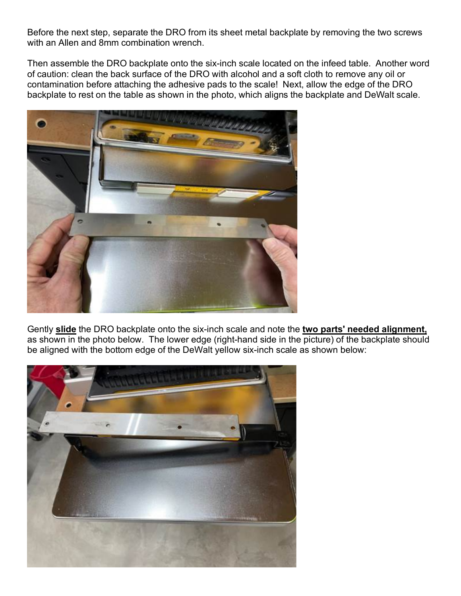Before the next step, separate the DRO from its sheet metal backplate by removing the two screws with an Allen and 8mm combination wrench.

Then assemble the DRO backplate onto the six-inch scale located on the infeed table. Another word of caution: clean the back surface of the DRO with alcohol and a soft cloth to remove any oil or contamination before attaching the adhesive pads to the scale! Next, allow the edge of the DRO backplate to rest on the table as shown in the photo, which aligns the backplate and DeWalt scale.



Gently **slide** the DRO backplate onto the six-inch scale and note the **two parts' needed alignment,** as shown in the photo below. The lower edge (right-hand side in the picture) of the backplate should be aligned with the bottom edge of the DeWalt yellow six-inch scale as shown below: